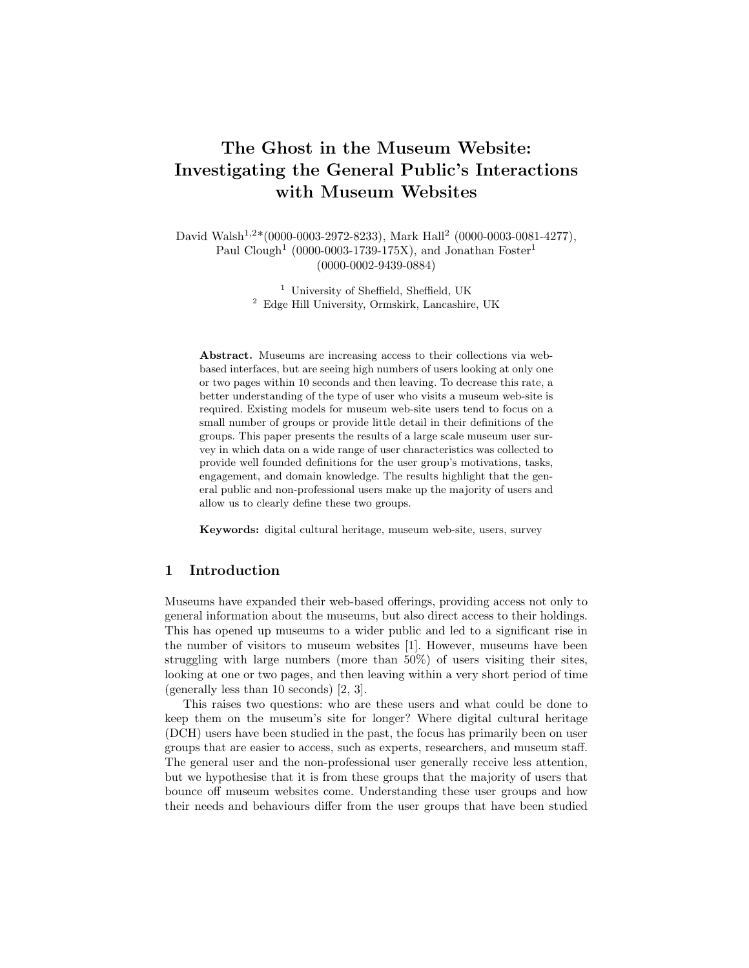# The Ghost in the Museum Website: Investigating the General Public's Interactions with Museum Websites

David Walsh<sup>1,2\*</sup>(0000-0003-2972-8233), Mark Hall<sup>2</sup> (0000-0003-0081-4277), Paul Clough<sup>1</sup> (0000-0003-1739-175X), and Jonathan Foster<sup>1</sup> (0000-0002-9439-0884)

> <sup>1</sup> University of Sheffield, Sheffield, UK <sup>2</sup> Edge Hill University, Ormskirk, Lancashire, UK

Abstract. Museums are increasing access to their collections via webbased interfaces, but are seeing high numbers of users looking at only one or two pages within 10 seconds and then leaving. To decrease this rate, a better understanding of the type of user who visits a museum web-site is required. Existing models for museum web-site users tend to focus on a small number of groups or provide little detail in their definitions of the groups. This paper presents the results of a large scale museum user survey in which data on a wide range of user characteristics was collected to provide well founded definitions for the user group's motivations, tasks, engagement, and domain knowledge. The results highlight that the general public and non-professional users make up the majority of users and allow us to clearly define these two groups.

Keywords: digital cultural heritage, museum web-site, users, survey

## 1 Introduction

Museums have expanded their web-based offerings, providing access not only to general information about the museums, but also direct access to their holdings. This has opened up museums to a wider public and led to a significant rise in the number of visitors to museum websites [1]. However, museums have been struggling with large numbers (more than 50%) of users visiting their sites, looking at one or two pages, and then leaving within a very short period of time (generally less than 10 seconds) [2, 3].

This raises two questions: who are these users and what could be done to keep them on the museum's site for longer? Where digital cultural heritage (DCH) users have been studied in the past, the focus has primarily been on user groups that are easier to access, such as experts, researchers, and museum staff. The general user and the non-professional user generally receive less attention, but we hypothesise that it is from these groups that the majority of users that bounce off museum websites come. Understanding these user groups and how their needs and behaviours differ from the user groups that have been studied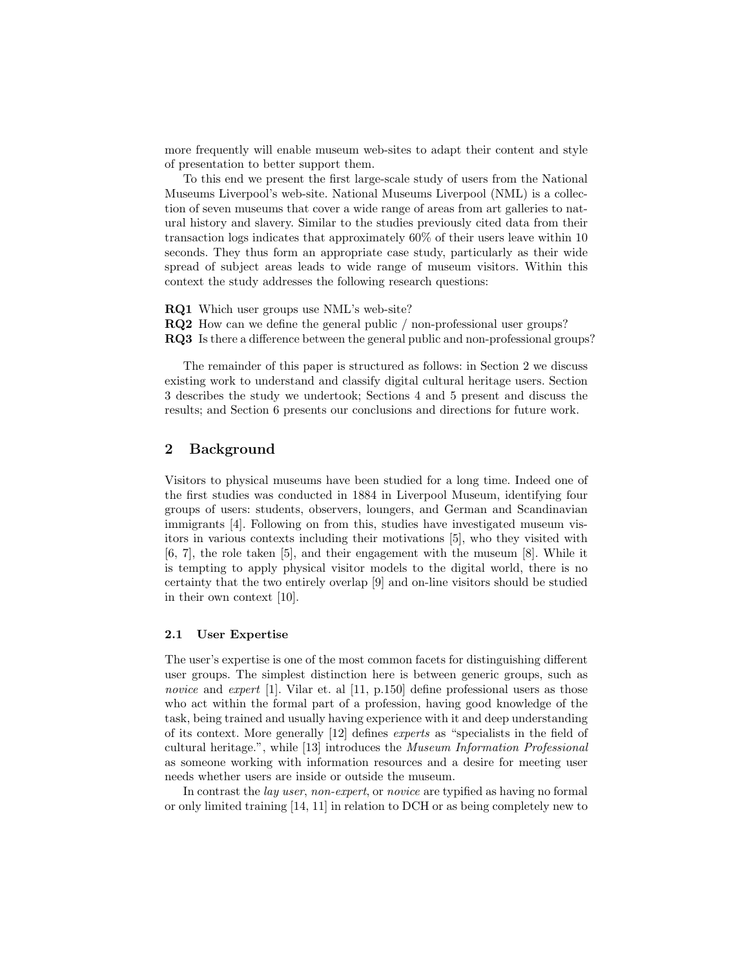more frequently will enable museum web-sites to adapt their content and style of presentation to better support them.

To this end we present the first large-scale study of users from the National Museums Liverpool's web-site. National Museums Liverpool (NML) is a collection of seven museums that cover a wide range of areas from art galleries to natural history and slavery. Similar to the studies previously cited data from their transaction logs indicates that approximately 60% of their users leave within 10 seconds. They thus form an appropriate case study, particularly as their wide spread of subject areas leads to wide range of museum visitors. Within this context the study addresses the following research questions:

RQ1 Which user groups use NML's web-site?

RQ2 How can we define the general public / non-professional user groups? RQ3 Is there a difference between the general public and non-professional groups?

The remainder of this paper is structured as follows: in Section 2 we discuss existing work to understand and classify digital cultural heritage users. Section 3 describes the study we undertook; Sections 4 and 5 present and discuss the results; and Section 6 presents our conclusions and directions for future work.

## 2 Background

Visitors to physical museums have been studied for a long time. Indeed one of the first studies was conducted in 1884 in Liverpool Museum, identifying four groups of users: students, observers, loungers, and German and Scandinavian immigrants [4]. Following on from this, studies have investigated museum visitors in various contexts including their motivations [5], who they visited with [6, 7], the role taken [5], and their engagement with the museum [8]. While it is tempting to apply physical visitor models to the digital world, there is no certainty that the two entirely overlap [9] and on-line visitors should be studied in their own context [10].

#### 2.1 User Expertise

The user's expertise is one of the most common facets for distinguishing different user groups. The simplest distinction here is between generic groups, such as novice and expert [1]. Vilar et. al [11, p.150] define professional users as those who act within the formal part of a profession, having good knowledge of the task, being trained and usually having experience with it and deep understanding of its context. More generally [12] defines experts as "specialists in the field of cultural heritage.", while [13] introduces the Museum Information Professional as someone working with information resources and a desire for meeting user needs whether users are inside or outside the museum.

In contrast the lay user, non-expert, or novice are typified as having no formal or only limited training [14, 11] in relation to DCH or as being completely new to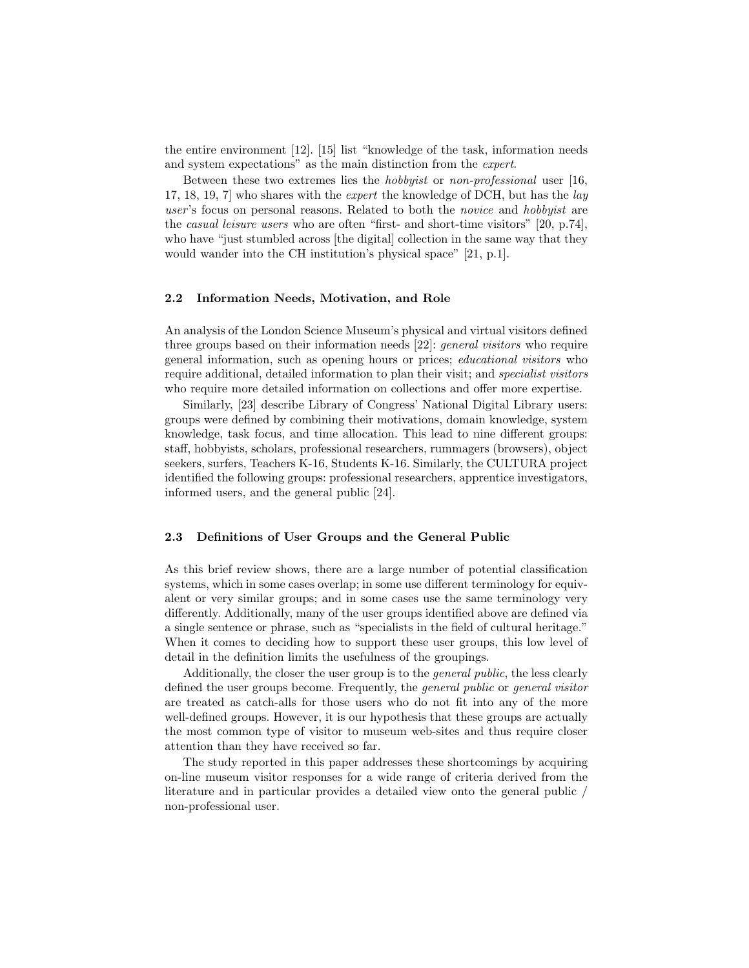the entire environment [12]. [15] list "knowledge of the task, information needs and system expectations" as the main distinction from the expert.

Between these two extremes lies the hobbyist or non-professional user [16, 17, 18, 19, 7] who shares with the expert the knowledge of DCH, but has the lay user 's focus on personal reasons. Related to both the novice and hobbyist are the casual leisure users who are often "first- and short-time visitors" [20, p.74], who have "just stumbled across [the digital] collection in the same way that they would wander into the CH institution's physical space" [21, p.1].

#### 2.2 Information Needs, Motivation, and Role

An analysis of the London Science Museum's physical and virtual visitors defined three groups based on their information needs [22]: general visitors who require general information, such as opening hours or prices; educational visitors who require additional, detailed information to plan their visit; and specialist visitors who require more detailed information on collections and offer more expertise.

Similarly, [23] describe Library of Congress' National Digital Library users: groups were defined by combining their motivations, domain knowledge, system knowledge, task focus, and time allocation. This lead to nine different groups: staff, hobbyists, scholars, professional researchers, rummagers (browsers), object seekers, surfers, Teachers K-16, Students K-16. Similarly, the CULTURA project identified the following groups: professional researchers, apprentice investigators, informed users, and the general public [24].

#### 2.3 Definitions of User Groups and the General Public

As this brief review shows, there are a large number of potential classification systems, which in some cases overlap; in some use different terminology for equivalent or very similar groups; and in some cases use the same terminology very differently. Additionally, many of the user groups identified above are defined via a single sentence or phrase, such as "specialists in the field of cultural heritage." When it comes to deciding how to support these user groups, this low level of detail in the definition limits the usefulness of the groupings.

Additionally, the closer the user group is to the general public, the less clearly defined the user groups become. Frequently, the general public or general visitor are treated as catch-alls for those users who do not fit into any of the more well-defined groups. However, it is our hypothesis that these groups are actually the most common type of visitor to museum web-sites and thus require closer attention than they have received so far.

The study reported in this paper addresses these shortcomings by acquiring on-line museum visitor responses for a wide range of criteria derived from the literature and in particular provides a detailed view onto the general public / non-professional user.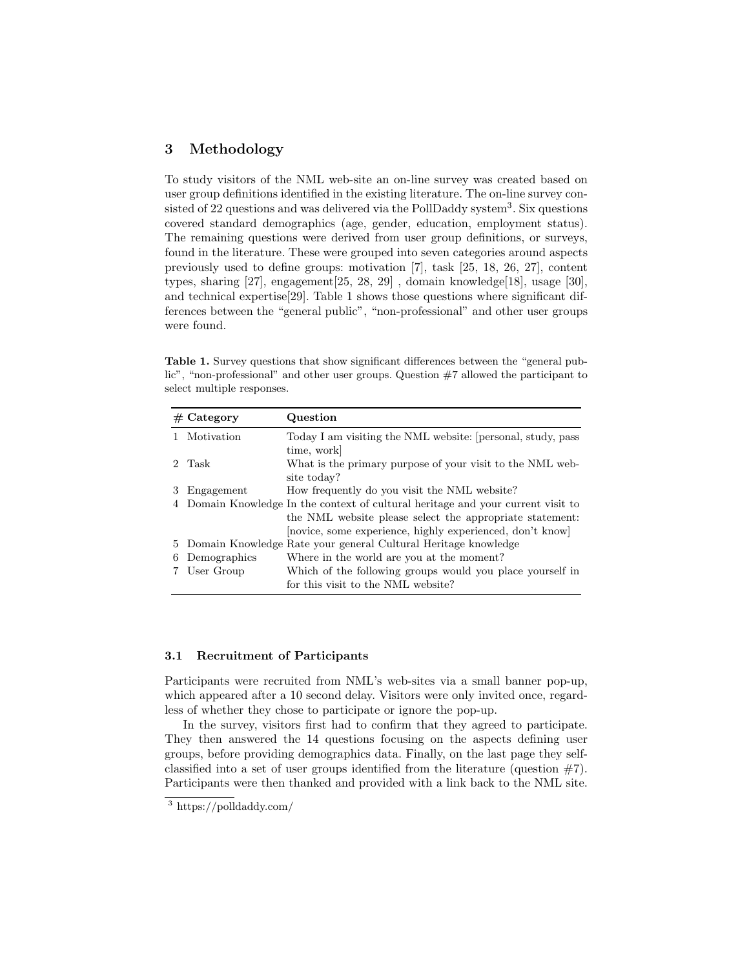## 3 Methodology

To study visitors of the NML web-site an on-line survey was created based on user group definitions identified in the existing literature. The on-line survey consisted of 22 questions and was delivered via the PollDaddy system<sup>3</sup>. Six questions covered standard demographics (age, gender, education, employment status). The remaining questions were derived from user group definitions, or surveys, found in the literature. These were grouped into seven categories around aspects previously used to define groups: motivation [7], task [25, 18, 26, 27], content types, sharing  $[27]$ , engagement $[25, 28, 29]$ , domain knowledge $[18]$ , usage  $[30]$ , and technical expertise[29]. Table 1 shows those questions where significant differences between the "general public", "non-professional" and other user groups were found.

Table 1. Survey questions that show significant differences between the "general public", "non-professional" and other user groups. Question #7 allowed the participant to select multiple responses.

|    | $\#$ Category | Question                                                                       |
|----|---------------|--------------------------------------------------------------------------------|
|    | Motivation    | Today I am visiting the NML website: [personal, study, pass]                   |
|    |               | time, work                                                                     |
|    | Task          | What is the primary purpose of your visit to the NML web-                      |
|    |               | site today?                                                                    |
|    | Engagement    | How frequently do you visit the NML website?                                   |
|    |               | Domain Knowledge In the context of cultural heritage and your current visit to |
|    |               | the NML website please select the appropriate statement:                       |
|    |               | novice, some experience, highly experienced, don't know                        |
| 5. |               | Domain Knowledge Rate your general Cultural Heritage knowledge                 |
| 6  | Demographics  | Where in the world are you at the moment?                                      |
|    | User Group    | Which of the following groups would you place yourself in                      |
|    |               | for this visit to the NML website?                                             |

#### 3.1 Recruitment of Participants

Participants were recruited from NML's web-sites via a small banner pop-up, which appeared after a 10 second delay. Visitors were only invited once, regardless of whether they chose to participate or ignore the pop-up.

In the survey, visitors first had to confirm that they agreed to participate. They then answered the 14 questions focusing on the aspects defining user groups, before providing demographics data. Finally, on the last page they selfclassified into a set of user groups identified from the literature (question  $#7$ ). Participants were then thanked and provided with a link back to the NML site.

<sup>3</sup> https://polldaddy.com/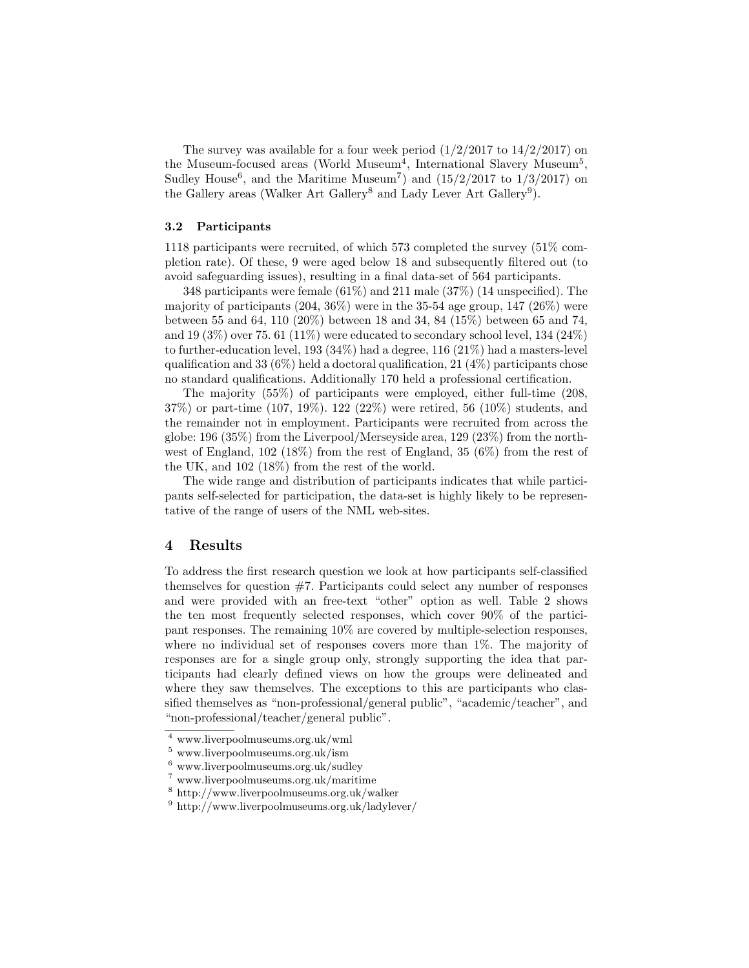The survey was available for a four week period  $(1/2/2017$  to  $14/2/2017)$  on the Museum-focused areas (World Museum<sup>4</sup>, International Slavery Museum<sup>5</sup>, Sudley House<sup>6</sup>, and the Maritime Museum<sup>7</sup>) and  $(15/2/2017$  to  $1/3/2017)$  on the Gallery areas (Walker Art Gallery<sup>8</sup> and Lady Lever Art Gallery<sup>9</sup>).

#### 3.2 Participants

1118 participants were recruited, of which 573 completed the survey (51% completion rate). Of these, 9 were aged below 18 and subsequently filtered out (to avoid safeguarding issues), resulting in a final data-set of 564 participants.

348 participants were female (61%) and 211 male (37%) (14 unspecified). The majority of participants  $(204, 36\%)$  were in the 35-54 age group, 147  $(26\%)$  were between 55 and 64, 110 (20%) between 18 and 34, 84 (15%) between 65 and 74, and 19  $(3\%)$  over 75. 61  $(11\%)$  were educated to secondary school level, 134  $(24\%)$ to further-education level, 193 (34%) had a degree, 116 (21%) had a masters-level qualification and 33 (6%) held a doctoral qualification, 21 (4%) participants chose no standard qualifications. Additionally 170 held a professional certification.

The majority (55%) of participants were employed, either full-time (208, 37%) or part-time (107, 19%). 122 (22%) were retired, 56 (10%) students, and the remainder not in employment. Participants were recruited from across the globe: 196 (35%) from the Liverpool/Merseyside area, 129 (23%) from the northwest of England,  $102 \ (18\%)$  from the rest of England,  $35 \ (6\%)$  from the rest of the UK, and 102 (18%) from the rest of the world.

The wide range and distribution of participants indicates that while participants self-selected for participation, the data-set is highly likely to be representative of the range of users of the NML web-sites.

## 4 Results

To address the first research question we look at how participants self-classified themselves for question  $#7$ . Participants could select any number of responses and were provided with an free-text "other" option as well. Table 2 shows the ten most frequently selected responses, which cover 90% of the participant responses. The remaining 10% are covered by multiple-selection responses, where no individual set of responses covers more than 1%. The majority of responses are for a single group only, strongly supporting the idea that participants had clearly defined views on how the groups were delineated and where they saw themselves. The exceptions to this are participants who classified themselves as "non-professional/general public", "academic/teacher", and "non-professional/teacher/general public".

<sup>4</sup> www.liverpoolmuseums.org.uk/wml

<sup>5</sup> www.liverpoolmuseums.org.uk/ism

<sup>6</sup> www.liverpoolmuseums.org.uk/sudley

<sup>7</sup> www.liverpoolmuseums.org.uk/maritime

<sup>8</sup> http://www.liverpoolmuseums.org.uk/walker

<sup>9</sup> http://www.liverpoolmuseums.org.uk/ladylever/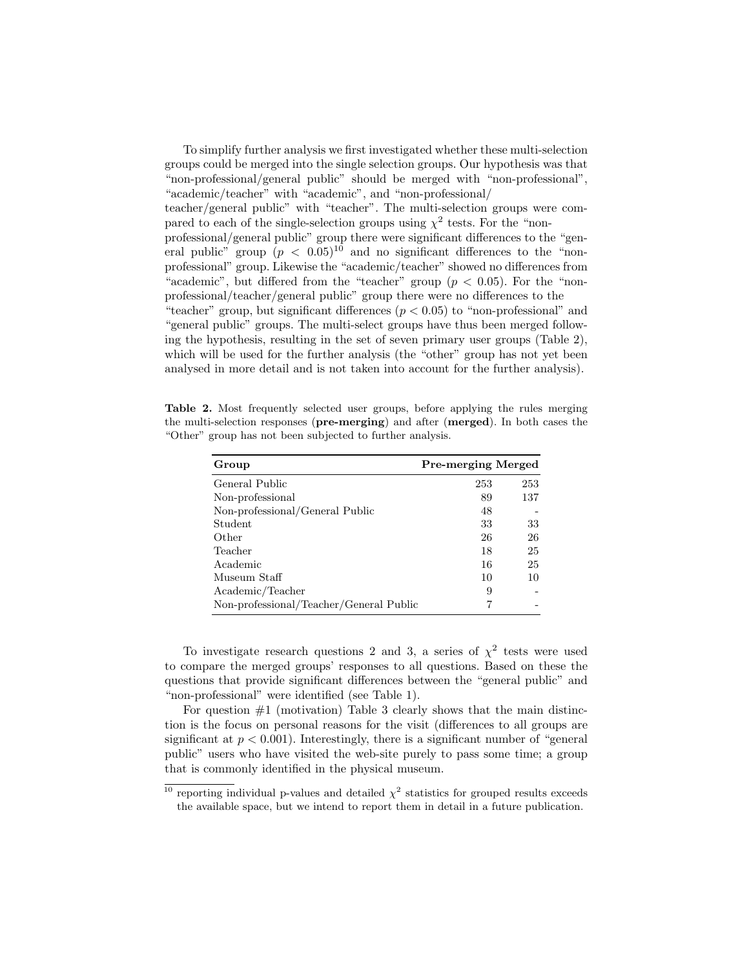To simplify further analysis we first investigated whether these multi-selection groups could be merged into the single selection groups. Our hypothesis was that "non-professional/general public" should be merged with "non-professional", "academic/teacher" with "academic", and "non-professional/ teacher/general public" with "teacher". The multi-selection groups were compared to each of the single-selection groups using  $\chi^2$  tests. For the "nonprofessional/general public" group there were significant differences to the "general public" group  $(p < 0.05)^{10}$  and no significant differences to the "nonprofessional" group. Likewise the "academic/teacher" showed no differences from "academic", but differed from the "teacher" group ( $p < 0.05$ ). For the "non-

professional/teacher/general public" group there were no differences to the "teacher" group, but significant differences  $(p < 0.05)$  to "non-professional" and "general public" groups. The multi-select groups have thus been merged following the hypothesis, resulting in the set of seven primary user groups (Table 2), which will be used for the further analysis (the "other" group has not yet been analysed in more detail and is not taken into account for the further analysis).

| Group                                   | <b>Pre-merging Merged</b> |     |
|-----------------------------------------|---------------------------|-----|
| General Public                          | 253                       | 253 |
| Non-professional                        | 89                        | 137 |
| Non-professional/General Public         | 48                        |     |
| Student                                 | 33                        | 33  |
| Other                                   | 26                        | 26  |
| Teacher                                 | 18                        | 25  |
| Academic                                | 16                        | 25  |
| Museum Staff                            | 10                        | 10  |
| Academic/Teacher                        | 9                         |     |
| Non-professional/Teacher/General Public |                           |     |

Table 2. Most frequently selected user groups, before applying the rules merging the multi-selection responses (pre-merging) and after (merged). In both cases the "Other" group has not been subjected to further analysis.

To investigate research questions 2 and 3, a series of  $\chi^2$  tests were used to compare the merged groups' responses to all questions. Based on these the questions that provide significant differences between the "general public" and "non-professional" were identified (see Table 1).

For question  $#1$  (motivation) Table 3 clearly shows that the main distinction is the focus on personal reasons for the visit (differences to all groups are significant at  $p < 0.001$ ). Interestingly, there is a significant number of "general public" users who have visited the web-site purely to pass some time; a group that is commonly identified in the physical museum.

<sup>&</sup>lt;sup>10</sup> reporting individual p-values and detailed  $\chi^2$  statistics for grouped results exceeds the available space, but we intend to report them in detail in a future publication.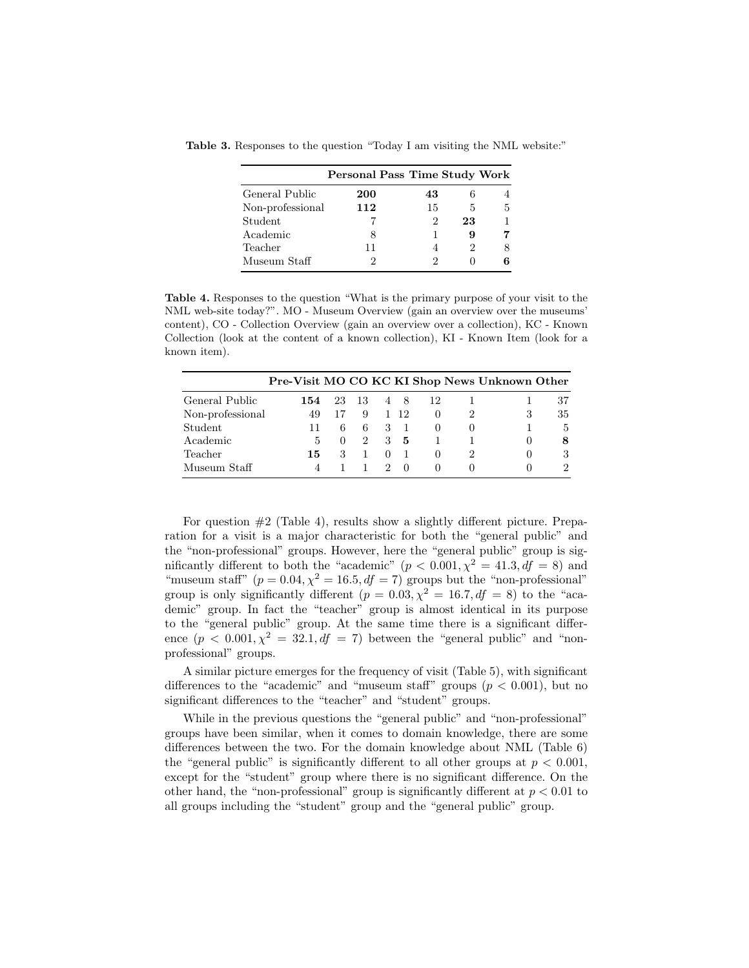Table 3. Responses to the question "Today I am visiting the NML website:"

|                  | Personal Pass Time Study Work |    |    |   |
|------------------|-------------------------------|----|----|---|
| General Public   | 200                           | 43 |    |   |
| Non-professional | 112                           | 15 | 5  | 5 |
| Student          |                               | 2  | 23 |   |
| Academic         | x                             |    | ч  |   |
| Teacher          | 11                            |    |    |   |
| Museum Staff     |                               |    |    |   |

Table 4. Responses to the question "What is the primary purpose of your visit to the NML web-site today?". MO - Museum Overview (gain an overview over the museums' content), CO - Collection Overview (gain an overview over a collection), KC - Known Collection (look at the content of a known collection), KI - Known Item (look for a known item).

|                  |     |          |                             |          |          |                  |               | Pre-Visit MO CO KC KI Shop News Unknown Other |              |
|------------------|-----|----------|-----------------------------|----------|----------|------------------|---------------|-----------------------------------------------|--------------|
| General Public   | 154 | 23       | -13                         |          | 4 8      | 12               |               |                                               |              |
| Non-professional | 49  |          | 9                           |          | -12      | $\theta$         | $\mathcal{D}$ | 3                                             | 35           |
| Student          |     | 6        | 6                           | 3        |          | $\left( \right)$ |               |                                               | $\mathbf{h}$ |
| Academic         | 5   | $\theta$ | $\mathcal{D}_{\mathcal{L}}$ | 3        | 5        |                  |               |                                               | 8            |
| Teacher          | 15  | 3        |                             | $\Omega$ |          | $\cup$           | 2             |                                               | 3            |
| Museum Staff     |     |          |                             |          | $\Omega$ | $\mathbf{0}$     | $\mathbf{0}$  |                                               |              |

For question  $#2$  (Table 4), results show a slightly different picture. Preparation for a visit is a major characteristic for both the "general public" and the "non-professional" groups. However, here the "general public" group is significantly different to both the "academic"  $(p < 0.001, \chi^2 = 41.3, df = 8)$  and "museum staff" ( $p = 0.04$ ,  $\chi^2 = 16.5$ ,  $df = 7$ ) groups but the "non-professional" group is only significantly different  $(p = 0.03, \chi^2 = 16.7, df = 8)$  to the "academic" group. In fact the "teacher" group is almost identical in its purpose to the "general public" group. At the same time there is a significant difference  $(p < 0.001, \chi^2 = 32.1, df = 7)$  between the "general public" and "nonprofessional" groups.

A similar picture emerges for the frequency of visit (Table 5), with significant differences to the "academic" and "museum staff" groups ( $p < 0.001$ ), but no significant differences to the "teacher" and "student" groups.

While in the previous questions the "general public" and "non-professional" groups have been similar, when it comes to domain knowledge, there are some differences between the two. For the domain knowledge about NML (Table 6) the "general public" is significantly different to all other groups at  $p < 0.001$ , except for the "student" group where there is no significant difference. On the other hand, the "non-professional" group is significantly different at  $p < 0.01$  to all groups including the "student" group and the "general public" group.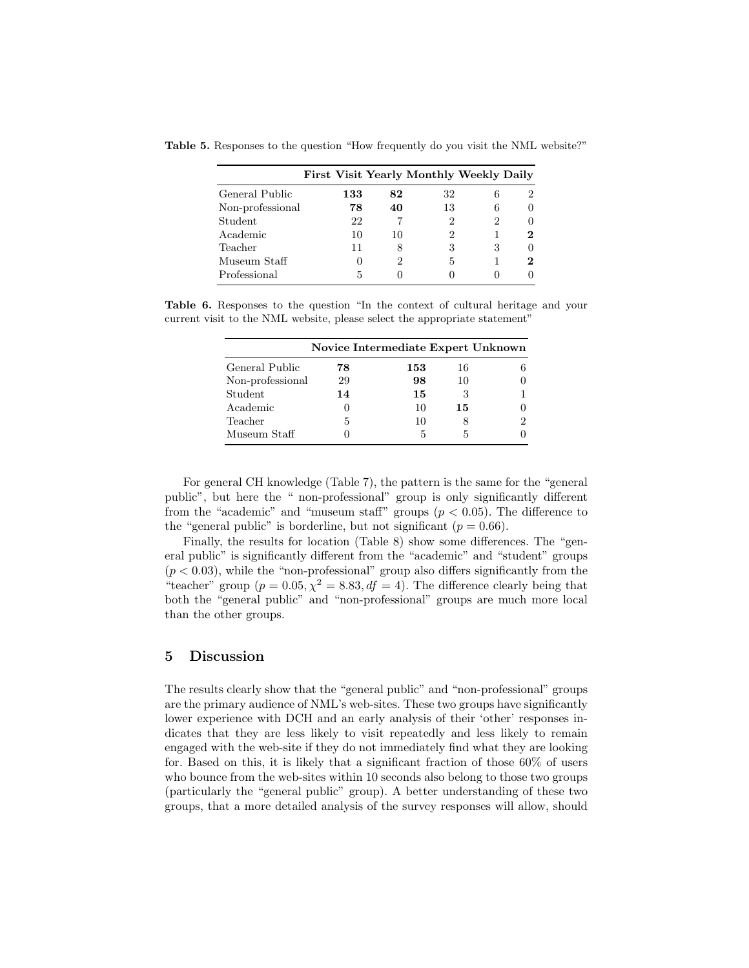|                  | First Visit Yearly Monthly Weekly Daily |    |    |   |   |
|------------------|-----------------------------------------|----|----|---|---|
| General Public   | 133                                     | 82 | 32 |   |   |
| Non-professional | 78                                      | 40 | 13 |   |   |
| Student          | 22                                      |    | 2  | 2 |   |
| Academic         | 10                                      | 10 | 2  |   | 2 |
| Teacher          |                                         |    | З  |   |   |
| Museum Staff     |                                         | 2  | 5  |   | 2 |
| Professional     | h                                       |    |    |   |   |

Table 5. Responses to the question "How frequently do you visit the NML website?"

Table 6. Responses to the question "In the context of cultural heritage and your current visit to the NML website, please select the appropriate statement"

|                  |    | Novice Intermediate Expert Unknown |    |  |
|------------------|----|------------------------------------|----|--|
| General Public   | 78 | 153                                | 16 |  |
| Non-professional | 29 | 98                                 | 10 |  |
| Student          | 14 | 15                                 |    |  |
| Academic         |    | 10                                 | 15 |  |
| Teacher          | 5  | 10                                 |    |  |
| Museum Staff     |    | 5                                  |    |  |

For general CH knowledge (Table 7), the pattern is the same for the "general public", but here the " non-professional" group is only significantly different from the "academic" and "museum staff" groups ( $p < 0.05$ ). The difference to the "general public" is borderline, but not significant ( $p = 0.66$ ).

Finally, the results for location (Table 8) show some differences. The "general public" is significantly different from the "academic" and "student" groups  $(p < 0.03)$ , while the "non-professional" group also differs significantly from the "teacher" group ( $p = 0.05$ ,  $\chi^2 = 8.83$ ,  $df = 4$ ). The difference clearly being that both the "general public" and "non-professional" groups are much more local than the other groups.

## 5 Discussion

The results clearly show that the "general public" and "non-professional" groups are the primary audience of NML's web-sites. These two groups have significantly lower experience with DCH and an early analysis of their 'other' responses indicates that they are less likely to visit repeatedly and less likely to remain engaged with the web-site if they do not immediately find what they are looking for. Based on this, it is likely that a significant fraction of those 60% of users who bounce from the web-sites within 10 seconds also belong to those two groups (particularly the "general public" group). A better understanding of these two groups, that a more detailed analysis of the survey responses will allow, should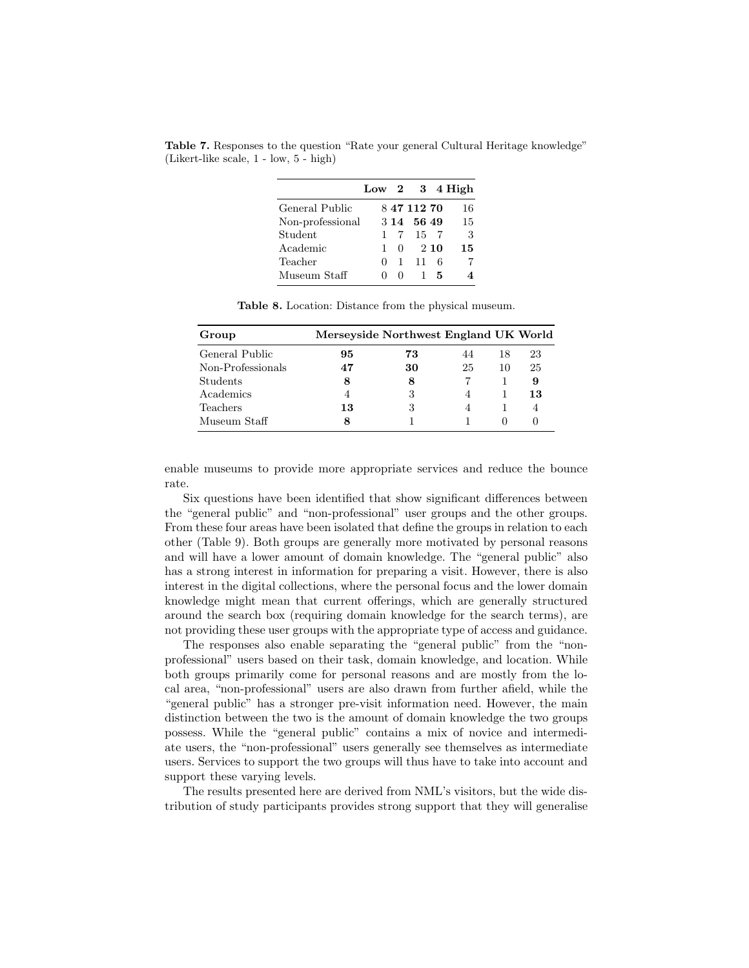Table 7. Responses to the question "Rate your general Cultural Heritage knowledge" (Likert-like scale, 1 - low, 5 - high)

|                  | $Low \quad 2$ |              |                  |    | 3 4 High |
|------------------|---------------|--------------|------------------|----|----------|
| General Public   |               |              | 8 47 112 70      |    | 16       |
| Non-professional |               |              | 3 14 56 49       |    | 15       |
| Student          |               |              | $1 \t7 \t15 \t7$ |    | 3        |
| Academic         | 1             | $^{\circ}$   | $-2.10$          |    | 15       |
| Teacher          | $\Omega$      | $\mathbf{1}$ | 11               | -6 |          |
| Museum Staff     |               | $\cup$       |                  | Б. |          |

Table 8. Location: Distance from the physical museum.

| Group             |    | Merseyside Northwest England UK World |    |    |                |
|-------------------|----|---------------------------------------|----|----|----------------|
| General Public    | 95 | 73                                    | 44 | 18 | 23             |
| Non-Professionals | 47 | 30                                    | 25 | 10 | 25             |
| Students          | 8  | 8                                     |    |    | 9              |
| Academics         |    | 3                                     |    |    | 13             |
| Teachers          | 13 | 3                                     |    |    | $\overline{4}$ |
| Museum Staff      |    |                                       |    |    |                |

enable museums to provide more appropriate services and reduce the bounce rate.

Six questions have been identified that show significant differences between the "general public" and "non-professional" user groups and the other groups. From these four areas have been isolated that define the groups in relation to each other (Table 9). Both groups are generally more motivated by personal reasons and will have a lower amount of domain knowledge. The "general public" also has a strong interest in information for preparing a visit. However, there is also interest in the digital collections, where the personal focus and the lower domain knowledge might mean that current offerings, which are generally structured around the search box (requiring domain knowledge for the search terms), are not providing these user groups with the appropriate type of access and guidance.

The responses also enable separating the "general public" from the "nonprofessional" users based on their task, domain knowledge, and location. While both groups primarily come for personal reasons and are mostly from the local area, "non-professional" users are also drawn from further afield, while the "general public" has a stronger pre-visit information need. However, the main distinction between the two is the amount of domain knowledge the two groups possess. While the "general public" contains a mix of novice and intermediate users, the "non-professional" users generally see themselves as intermediate users. Services to support the two groups will thus have to take into account and support these varying levels.

The results presented here are derived from NML's visitors, but the wide distribution of study participants provides strong support that they will generalise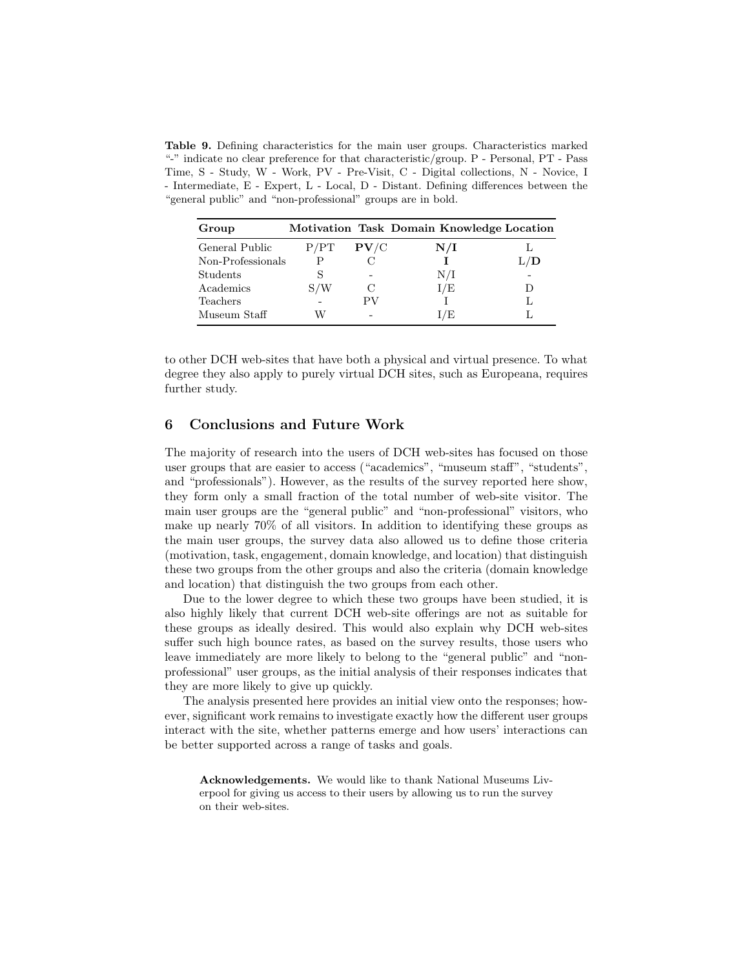Table 9. Defining characteristics for the main user groups. Characteristics marked "-" indicate no clear preference for that characteristic/group. P - Personal, PT - Pass Time, S - Study, W - Work, PV - Pre-Visit, C - Digital collections, N - Novice, I - Intermediate, E - Expert, L - Local, D - Distant. Defining differences between the "general public" and "non-professional" groups are in bold.

| Group             |      |      | Motivation Task Domain Knowledge Location |     |
|-------------------|------|------|-------------------------------------------|-----|
| General Public    | P/PT | PV/C | N/I                                       |     |
| Non-Professionals |      |      |                                           | ./D |
| Students          |      |      | N/I                                       |     |
| Academics         | S/W  | C    | I/E                                       |     |
| Teachers          |      | PV   |                                           |     |
| Museum Staff      | W    |      | I/E                                       |     |

to other DCH web-sites that have both a physical and virtual presence. To what degree they also apply to purely virtual DCH sites, such as Europeana, requires further study.

## 6 Conclusions and Future Work

The majority of research into the users of DCH web-sites has focused on those user groups that are easier to access ("academics", "museum staff", "students", and "professionals"). However, as the results of the survey reported here show, they form only a small fraction of the total number of web-site visitor. The main user groups are the "general public" and "non-professional" visitors, who make up nearly 70% of all visitors. In addition to identifying these groups as the main user groups, the survey data also allowed us to define those criteria (motivation, task, engagement, domain knowledge, and location) that distinguish these two groups from the other groups and also the criteria (domain knowledge and location) that distinguish the two groups from each other.

Due to the lower degree to which these two groups have been studied, it is also highly likely that current DCH web-site offerings are not as suitable for these groups as ideally desired. This would also explain why DCH web-sites suffer such high bounce rates, as based on the survey results, those users who leave immediately are more likely to belong to the "general public" and "nonprofessional" user groups, as the initial analysis of their responses indicates that they are more likely to give up quickly.

The analysis presented here provides an initial view onto the responses; however, significant work remains to investigate exactly how the different user groups interact with the site, whether patterns emerge and how users' interactions can be better supported across a range of tasks and goals.

Acknowledgements. We would like to thank National Museums Liverpool for giving us access to their users by allowing us to run the survey on their web-sites.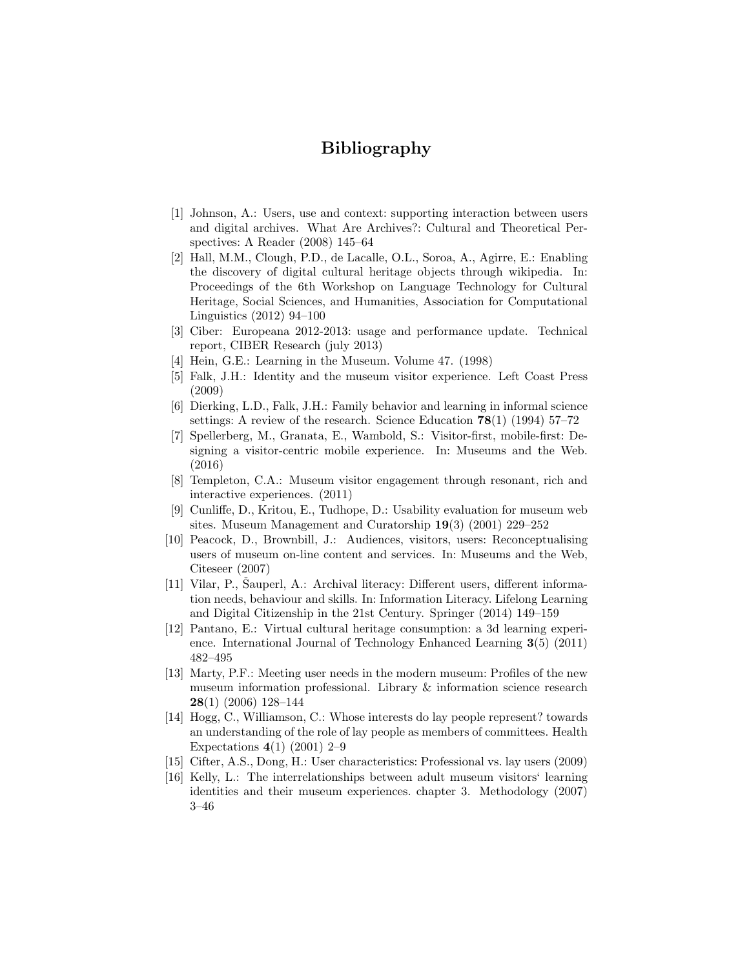## Bibliography

- [1] Johnson, A.: Users, use and context: supporting interaction between users and digital archives. What Are Archives?: Cultural and Theoretical Perspectives: A Reader (2008) 145–64
- [2] Hall, M.M., Clough, P.D., de Lacalle, O.L., Soroa, A., Agirre, E.: Enabling the discovery of digital cultural heritage objects through wikipedia. In: Proceedings of the 6th Workshop on Language Technology for Cultural Heritage, Social Sciences, and Humanities, Association for Computational Linguistics (2012) 94–100
- [3] Ciber: Europeana 2012-2013: usage and performance update. Technical report, CIBER Research (july 2013)
- [4] Hein, G.E.: Learning in the Museum. Volume 47. (1998)
- [5] Falk, J.H.: Identity and the museum visitor experience. Left Coast Press (2009)
- [6] Dierking, L.D., Falk, J.H.: Family behavior and learning in informal science settings: A review of the research. Science Education 78(1) (1994) 57-72
- [7] Spellerberg, M., Granata, E., Wambold, S.: Visitor-first, mobile-first: Designing a visitor-centric mobile experience. In: Museums and the Web. (2016)
- [8] Templeton, C.A.: Museum visitor engagement through resonant, rich and interactive experiences. (2011)
- [9] Cunliffe, D., Kritou, E., Tudhope, D.: Usability evaluation for museum web sites. Museum Management and Curatorship 19(3) (2001) 229–252
- [10] Peacock, D., Brownbill, J.: Audiences, visitors, users: Reconceptualising users of museum on-line content and services. In: Museums and the Web, Citeseer (2007)
- $[11]$  Vilar, P., Sauperl, A.: Archival literacy: Different users, different information needs, behaviour and skills. In: Information Literacy. Lifelong Learning and Digital Citizenship in the 21st Century. Springer (2014) 149–159
- [12] Pantano, E.: Virtual cultural heritage consumption: a 3d learning experience. International Journal of Technology Enhanced Learning 3(5) (2011) 482–495
- [13] Marty, P.F.: Meeting user needs in the modern museum: Profiles of the new museum information professional. Library  $\&$  information science research 28(1) (2006) 128–144
- [14] Hogg, C., Williamson, C.: Whose interests do lay people represent? towards an understanding of the role of lay people as members of committees. Health Expectations  $4(1)$  (2001) 2–9
- [15] Cifter, A.S., Dong, H.: User characteristics: Professional vs. lay users (2009)
- [16] Kelly, L.: The interrelationships between adult museum visitors' learning identities and their museum experiences. chapter 3. Methodology (2007) 3–46